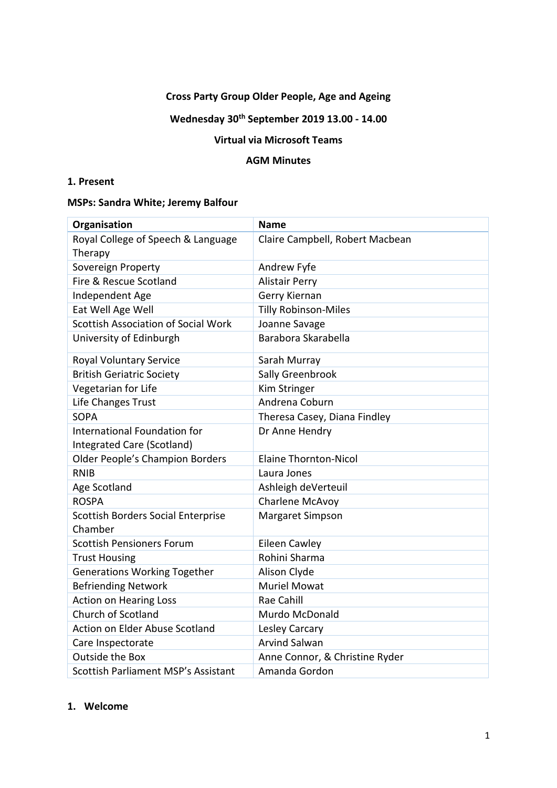## **Cross Party Group Older People, Age and Ageing**

# **Wednesday 30th September 2019 13.00 - 14.00**

## **Virtual via Microsoft Teams**

#### **AGM Minutes**

## **1. Present**

## **MSPs: Sandra White; Jeremy Balfour**

| Organisation                                               | <b>Name</b>                     |
|------------------------------------------------------------|---------------------------------|
| Royal College of Speech & Language<br>Therapy              | Claire Campbell, Robert Macbean |
| Sovereign Property                                         | Andrew Fyfe                     |
| Fire & Rescue Scotland                                     | <b>Alistair Perry</b>           |
| Independent Age                                            | Gerry Kiernan                   |
| Eat Well Age Well                                          | <b>Tilly Robinson-Miles</b>     |
| <b>Scottish Association of Social Work</b>                 | Joanne Savage                   |
| University of Edinburgh                                    | Barabora Skarabella             |
| Royal Voluntary Service                                    | Sarah Murray                    |
| <b>British Geriatric Society</b>                           | Sally Greenbrook                |
| Vegetarian for Life                                        | Kim Stringer                    |
| Life Changes Trust                                         | Andrena Coburn                  |
| <b>SOPA</b>                                                | Theresa Casey, Diana Findley    |
| International Foundation for<br>Integrated Care (Scotland) | Dr Anne Hendry                  |
| Older People's Champion Borders                            | <b>Elaine Thornton-Nicol</b>    |
| <b>RNIB</b>                                                | Laura Jones                     |
| Age Scotland                                               | Ashleigh deVerteuil             |
| <b>ROSPA</b>                                               | Charlene McAvoy                 |
| Scottish Borders Social Enterprise<br>Chamber              | <b>Margaret Simpson</b>         |
| <b>Scottish Pensioners Forum</b>                           | Eileen Cawley                   |
| <b>Trust Housing</b>                                       | Rohini Sharma                   |
| <b>Generations Working Together</b>                        | Alison Clyde                    |
| <b>Befriending Network</b>                                 | <b>Muriel Mowat</b>             |
| <b>Action on Hearing Loss</b>                              | Rae Cahill                      |
| Church of Scotland                                         | Murdo McDonald                  |
| <b>Action on Elder Abuse Scotland</b>                      | Lesley Carcary                  |
| Care Inspectorate                                          | <b>Arvind Salwan</b>            |
| <b>Outside the Box</b>                                     | Anne Connor, & Christine Ryder  |
| <b>Scottish Parliament MSP's Assistant</b>                 | Amanda Gordon                   |

#### **1. Welcome**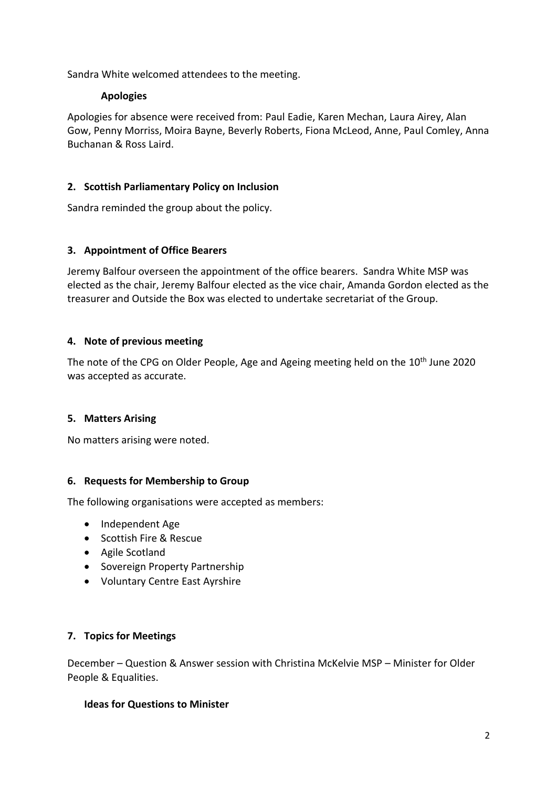Sandra White welcomed attendees to the meeting.

### **Apologies**

Apologies for absence were received from: Paul Eadie, Karen Mechan, Laura Airey, Alan Gow, Penny Morriss, Moira Bayne, Beverly Roberts, Fiona McLeod, Anne, Paul Comley, Anna Buchanan & Ross Laird.

## **2. Scottish Parliamentary Policy on Inclusion**

Sandra reminded the group about the policy.

### **3. Appointment of Office Bearers**

Jeremy Balfour overseen the appointment of the office bearers. Sandra White MSP was elected as the chair, Jeremy Balfour elected as the vice chair, Amanda Gordon elected as the treasurer and Outside the Box was elected to undertake secretariat of the Group.

### **4. Note of previous meeting**

The note of the CPG on Older People, Age and Ageing meeting held on the 10<sup>th</sup> June 2020 was accepted as accurate.

#### **5. Matters Arising**

No matters arising were noted.

#### **6. Requests for Membership to Group**

The following organisations were accepted as members:

- Independent Age
- Scottish Fire & Rescue
- Agile Scotland
- Sovereign Property Partnership
- Voluntary Centre East Ayrshire

#### **7. Topics for Meetings**

December – Question & Answer session with Christina McKelvie MSP – Minister for Older People & Equalities.

#### **Ideas for Questions to Minister**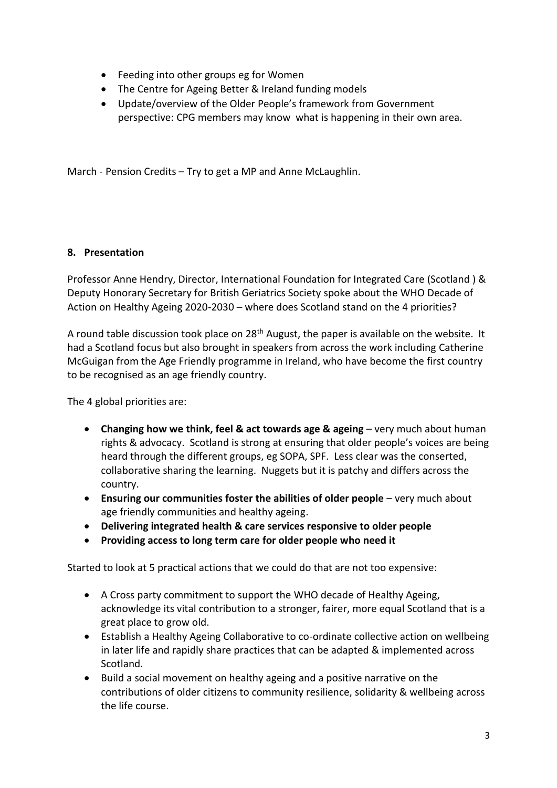- Feeding into other groups eg for Women
- The Centre for Ageing Better & Ireland funding models
- Update/overview of the Older People's framework from Government perspective: CPG members may know what is happening in their own area.

March - Pension Credits – Try to get a MP and Anne McLaughlin.

### **8. Presentation**

Professor Anne Hendry, Director, International Foundation for Integrated Care (Scotland ) & Deputy Honorary Secretary for British Geriatrics Society spoke about the WHO Decade of Action on Healthy Ageing 2020-2030 – where does Scotland stand on the 4 priorities?

A round table discussion took place on 28<sup>th</sup> August, the paper is available on the website. It had a Scotland focus but also brought in speakers from across the work including Catherine McGuigan from the Age Friendly programme in Ireland, who have become the first country to be recognised as an age friendly country.

The 4 global priorities are:

- **Changing how we think, feel & act towards age & ageing** very much about human rights & advocacy. Scotland is strong at ensuring that older people's voices are being heard through the different groups, eg SOPA, SPF. Less clear was the conserted, collaborative sharing the learning. Nuggets but it is patchy and differs across the country.
- **Ensuring our communities foster the abilities of older people** very much about age friendly communities and healthy ageing.
- **Delivering integrated health & care services responsive to older people**
- **Providing access to long term care for older people who need it**

Started to look at 5 practical actions that we could do that are not too expensive:

- A Cross party commitment to support the WHO decade of Healthy Ageing, acknowledge its vital contribution to a stronger, fairer, more equal Scotland that is a great place to grow old.
- Establish a Healthy Ageing Collaborative to co-ordinate collective action on wellbeing in later life and rapidly share practices that can be adapted & implemented across Scotland.
- Build a social movement on healthy ageing and a positive narrative on the contributions of older citizens to community resilience, solidarity & wellbeing across the life course.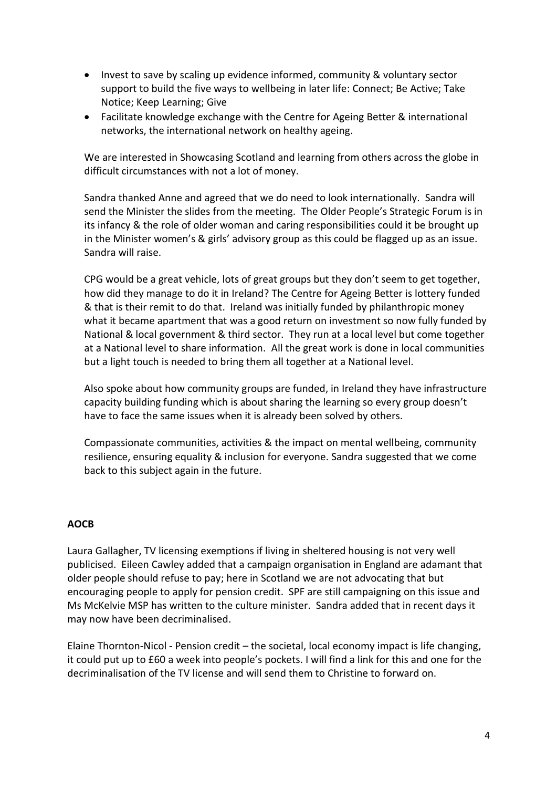- Invest to save by scaling up evidence informed, community & voluntary sector support to build the five ways to wellbeing in later life: Connect; Be Active; Take Notice; Keep Learning; Give
- Facilitate knowledge exchange with the Centre for Ageing Better & international networks, the international network on healthy ageing.

We are interested in Showcasing Scotland and learning from others across the globe in difficult circumstances with not a lot of money.

Sandra thanked Anne and agreed that we do need to look internationally. Sandra will send the Minister the slides from the meeting. The Older People's Strategic Forum is in its infancy & the role of older woman and caring responsibilities could it be brought up in the Minister women's & girls' advisory group as this could be flagged up as an issue. Sandra will raise.

CPG would be a great vehicle, lots of great groups but they don't seem to get together, how did they manage to do it in Ireland? The Centre for Ageing Better is lottery funded & that is their remit to do that. Ireland was initially funded by philanthropic money what it became apartment that was a good return on investment so now fully funded by National & local government & third sector. They run at a local level but come together at a National level to share information. All the great work is done in local communities but a light touch is needed to bring them all together at a National level.

Also spoke about how community groups are funded, in Ireland they have infrastructure capacity building funding which is about sharing the learning so every group doesn't have to face the same issues when it is already been solved by others.

Compassionate communities, activities & the impact on mental wellbeing, community resilience, ensuring equality & inclusion for everyone. Sandra suggested that we come back to this subject again in the future.

## **AOCB**

Laura Gallagher, TV licensing exemptions if living in sheltered housing is not very well publicised. Eileen Cawley added that a campaign organisation in England are adamant that older people should refuse to pay; here in Scotland we are not advocating that but encouraging people to apply for pension credit. SPF are still campaigning on this issue and Ms McKelvie MSP has written to the culture minister. Sandra added that in recent days it may now have been decriminalised.

Elaine Thornton-Nicol - Pension credit – the societal, local economy impact is life changing, it could put up to £60 a week into people's pockets. I will find a link for this and one for the decriminalisation of the TV license and will send them to Christine to forward on.